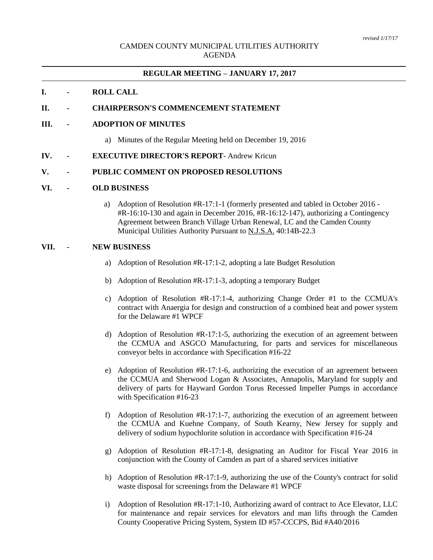### CAMDEN COUNTY MUNICIPAL UTILITIES AUTHORITY AGENDA

# **REGULAR MEETING – JANUARY 17, 2017**

#### **I. - ROLL CALL**

#### **II. - CHAIRPERSON'S COMMENCEMENT STATEMENT**

#### **III. - ADOPTION OF MINUTES**

a) Minutes of the Regular Meeting held on December 19, 2016

#### **IV. - EXECUTIVE DIRECTOR'S REPORT**- Andrew Kricun

## **V. - PUBLIC COMMENT ON PROPOSED RESOLUTIONS**

#### **VI. - OLD BUSINESS**

a) Adoption of Resolution #R-17:1-1 (formerly presented and tabled in October 2016 -  $#R-16:10-130$  and again in December 2016,  $#R-16:12-147$ ), authorizing a Contingency Agreement between Branch Village Urban Renewal, LC and the Camden County Municipal Utilities Authority Pursuant to N.J.S.A. 40:14B-22.3

# **VII. - NEW BUSINESS**

- a) Adoption of Resolution #R-17:1-2, adopting a late Budget Resolution
- b) Adoption of Resolution #R-17:1-3, adopting a temporary Budget
- c) Adoption of Resolution #R-17:1-4, authorizing Change Order #1 to the CCMUA's contract with Anaergia for design and construction of a combined heat and power system for the Delaware #1 WPCF
- d) Adoption of Resolution #R-17:1-5, authorizing the execution of an agreement between the CCMUA and ASGCO Manufacturing, for parts and services for miscellaneous conveyor belts in accordance with Specification #16-22
- e) Adoption of Resolution #R-17:1-6, authorizing the execution of an agreement between the CCMUA and Sherwood Logan & Associates, Annapolis, Maryland for supply and delivery of parts for Hayward Gordon Torus Recessed Impeller Pumps in accordance with Specification #16-23
- f) Adoption of Resolution #R-17:1-7, authorizing the execution of an agreement between the CCMUA and Kuehne Company, of South Kearny, New Jersey for supply and delivery of sodium hypochlorite solution in accordance with Specification #16-24
- g) Adoption of Resolution #R-17:1-8, designating an Auditor for Fiscal Year 2016 in conjunction with the County of Camden as part of a shared services initiative
- h) Adoption of Resolution #R-17:1-9, authorizing the use of the County's contract for solid waste disposal for screenings from the Delaware #1 WPCF
- i) Adoption of Resolution #R-17:1-10, Authorizing award of contract to Ace Elevator, LLC for maintenance and repair services for elevators and man lifts through the Camden County Cooperative Pricing System, System ID #57-CCCPS, Bid #A40/2016